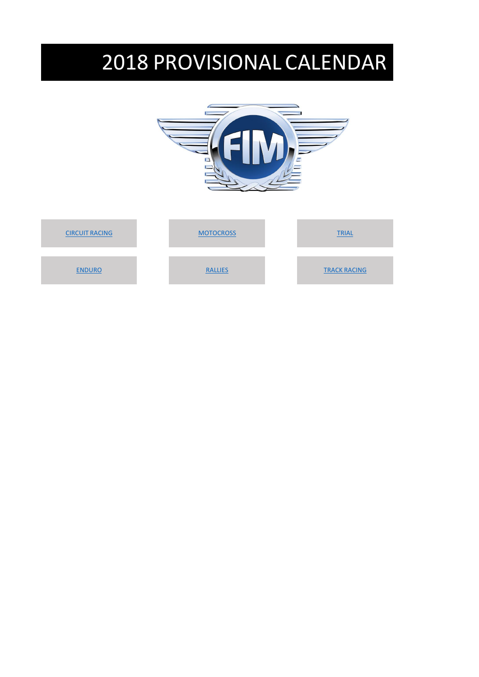# 2018 PROVISIONAL CALENDAR

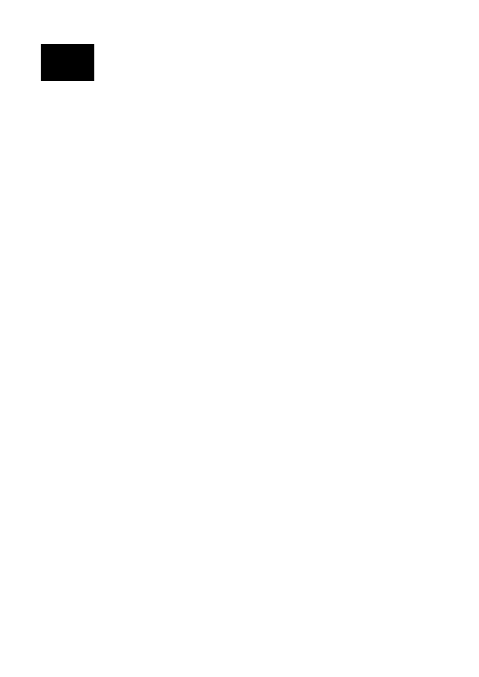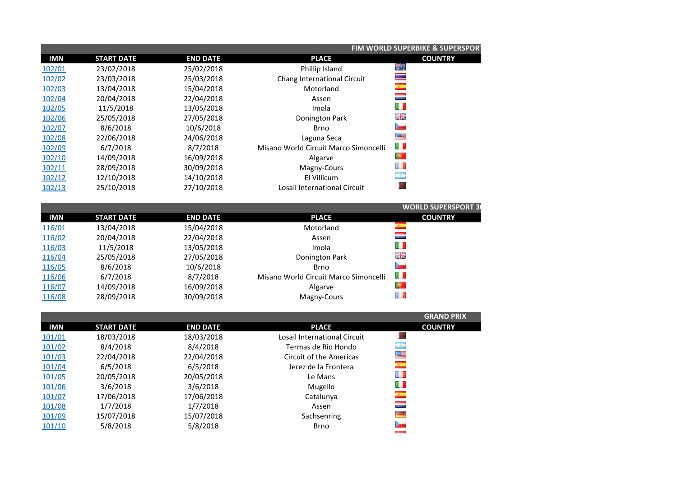|            |                   | FIM WORLD SUPERBIKE & SUPERSPORT |                                             |                |                            |  |
|------------|-------------------|----------------------------------|---------------------------------------------|----------------|----------------------------|--|
| <b>IMN</b> | <b>START DATE</b> | <b>END DATE</b>                  | <b>PLACE</b>                                |                | <b>COUNTRY</b>             |  |
| 102/01     | 23/02/2018        | 25/02/2018                       | Phillip Island                              | F.             |                            |  |
| 102/02     | 23/03/2018        | 25/03/2018                       | <b>Compa</b><br>Chang International Circuit |                |                            |  |
| 102/03     | 13/04/2018        | 15/04/2018                       | Motorland                                   | x.             |                            |  |
| 102/04     | 20/04/2018        | 22/04/2018                       | Assen                                       | ter i          |                            |  |
| 102/05     | 11/5/2018         | 13/05/2018                       | Imola                                       | 87             |                            |  |
| 102/06     | 25/05/2018        | 27/05/2018                       | Donington Park                              | 罢              |                            |  |
| 102/07     | 8/6/2018          | 10/6/2018                        | <b>Brno</b>                                 | $\sim$         |                            |  |
| 102/08     | 22/06/2018        | 24/06/2018                       | Laguna Seca                                 | 雁              |                            |  |
| 102/09     | 6/7/2018          | 8/7/2018                         | Misano World Circuit Marco Simoncelli       | 87             |                            |  |
| 102/10     | 14/09/2018        | 16/09/2018                       | Algarve                                     | s.             |                            |  |
| 102/11     | 28/09/2018        | 30/09/2018                       | Magny-Cours                                 | 腰              |                            |  |
| 102/12     | 12/10/2018        | 14/10/2018                       | El Villicum                                 | 830            |                            |  |
| 102/13     | 25/10/2018        | 27/10/2018                       | Losail International Circuit                | E              |                            |  |
|            |                   |                                  |                                             |                |                            |  |
|            |                   |                                  |                                             |                | <b>WORLD SUPERSPORT 30</b> |  |
| <b>IMN</b> | <b>START DATE</b> | <b>END DATE</b>                  | <b>PLACE</b>                                |                | <b>COUNTRY</b>             |  |
| 116/01     | 13/04/2018        | 15/04/2018                       | Motorland                                   | œ              |                            |  |
| 116/02     | 20/04/2018        | 22/04/2018                       | Assen                                       | ł              |                            |  |
| 116/03     | 11/5/2018         | 13/05/2018                       | Imola                                       | B T            |                            |  |
| 116/04     | 25/05/2018        | 27/05/2018                       | Donington Park                              | 꾉뚡             |                            |  |
| 116/05     | 8/6/2018          | 10/6/2018                        | <b>Brno</b>                                 | <b>Service</b> |                            |  |
| 116/06     | 6/7/2018          | 8/7/2018                         | Misano World Circuit Marco Simoncelli       | E.             |                            |  |
| 116/07     | 14/09/2018        | 16/09/2018                       | Algarve                                     | s,             |                            |  |
| 116/08     | 28/09/2018        | 30/09/2018                       | Magny-Cours                                 | H B            |                            |  |
|            |                   |                                  |                                             |                |                            |  |
|            |                   |                                  |                                             |                | <b>GRAND PRIX</b>          |  |
| <b>IMN</b> | <b>START DATE</b> | <b>END DATE</b>                  | <b>PLACE</b>                                |                | <b>COUNTRY</b>             |  |
| 101/01     | 18/03/2018        | 18/03/2018                       | Losail International Circuit                | P.             |                            |  |
| 101/02     | 8/4/2018          | 8/4/2018                         | Termas de Rio Hondo                         | 930            |                            |  |
| 101/03     | 22/04/2018        | 22/04/2018                       | Circuit of the Americas                     | 四              |                            |  |
| 101/04     | 6/5/2018          | 6/5/2018                         | Jerez de la Frontera                        | <u>ie in </u>  |                            |  |
| 101/05     | 20/05/2018        | 20/05/2018                       | Le Mans                                     | H.             |                            |  |
| 101/06     | 3/6/2018          | 3/6/2018                         | Mugello                                     | и,             |                            |  |
| 101/07     | 17/06/2018        | 17/06/2018                       | Catalunya                                   |                |                            |  |
| 101/08     | 1/7/2018          | 1/7/2018                         | Assen                                       | m              |                            |  |

<span id="page-2-0"></span>[101/09](http://www.fim-live.com/en/sport/ranking/grand-prix/results/12807/) 15/07/2018 15/07/2018 Sachsenring

[101/10](http://www.fim-live.com/en/sport/ranking/grand-prix/results/12813/) 5/8/2018 5/8/2018 5/8/2018 Brno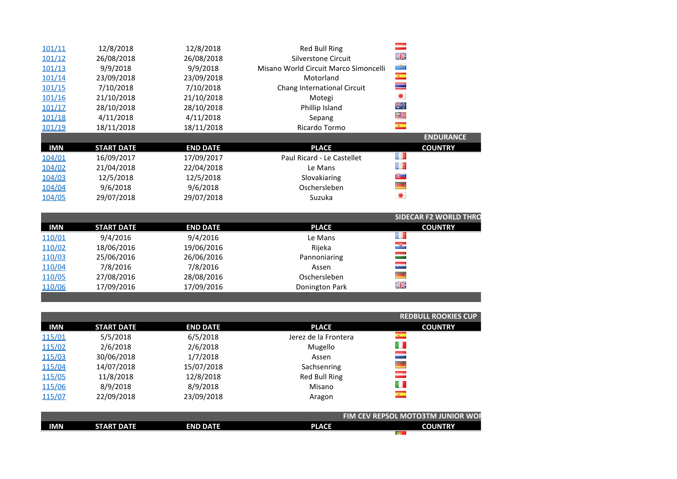| 101/11     | 12/8/2018         | 12/8/2018       | Red Bull Ring                         |                                 |
|------------|-------------------|-----------------|---------------------------------------|---------------------------------|
| 101/12     | 26/08/2018        | 26/08/2018      | Silverstone Circuit                   | 꾉뚡                              |
| 101/13     | 9/9/2018          | 9/9/2018        | Misano World Circuit Marco Simoncelli | 1994                            |
| 101/14     | 23/09/2018        | 23/09/2018      | Motorland                             | 24.00                           |
| 101/15     | 7/10/2018         | 7/10/2018       | Chang International Circuit           | <b>COL</b>                      |
| 101/16     | 21/10/2018        | 21/10/2018      | Motegi                                | ۰                               |
| 101/17     | 28/10/2018        | 28/10/2018      | Phillip Island                        | F)                              |
| 101/18     | 4/11/2018         | 4/11/2018       | Sepang                                | ⋐                               |
| 101/19     | 18/11/2018        | 18/11/2018      | Ricardo Tormo                         | 33.                             |
|            |                   |                 |                                       | <b>ENDURANCE</b>                |
| <b>IMN</b> | <b>START DATE</b> | <b>END DATE</b> | <b>PLACE</b>                          | <b>COUNTRY</b>                  |
| 104/01     | 16/09/2017        | 17/09/2017      | Paul Ricard - Le Castellet            | ш                               |
| 104/02     | 21/04/2018        | 22/04/2018      | Le Mans                               | H.                              |
| 104/03     | 12/5/2018         | 12/5/2018       | Slovakiaring                          | $\mathcal{O}_{\rm{max}}$        |
| 104/04     | 9/6/2018          | 9/6/2018        | Oschersleben                          | <b>City</b>                     |
| 104/05     | 29/07/2018        | 29/07/2018      | Suzuka                                | ٠                               |
|            |                   |                 |                                       |                                 |
|            |                   |                 |                                       | <b>SIDECAR F2 WORLD THRO</b>    |
| <b>IMN</b> | <b>START DATE</b> | <b>END DATE</b> | <b>PLACE</b>                          | <b>COUNTRY</b>                  |
| 110/01     | 9/4/2016          | 9/4/2016        | Le Mans                               | ш                               |
| 110/02     | 18/06/2016        | 19/06/2016      | Rijeka                                | e.                              |
| 110/03     | 25/06/2016        | 26/06/2016      | Pannoniaring                          |                                 |
| 110/04     | 7/8/2016          | 7/8/2016        | Assen                                 | l,                              |
| 110/05     | 27/08/2016        | 28/08/2016      | Oschersleben                          |                                 |
| 110/06     | 17/09/2016        | 17/09/2016      | Donington Park                        | 꾉뚡                              |
|            |                   |                 |                                       |                                 |
|            |                   |                 |                                       |                                 |
|            |                   |                 |                                       | <b>REDBULL ROOKIES CUP</b>      |
| <b>IMN</b> | <b>START DATE</b> | <b>END DATE</b> | <b>PLACE</b>                          | <b>COUNTRY</b><br><b>SCIENT</b> |
| 115/01     | 5/5/2018          | 6/5/2018        | Jerez de la Frontera                  | 8 T                             |
| 115/02     | 2/6/2018          | 2/6/2018        | Mugello                               |                                 |
| 115/03     | 30/06/2018        | 1/7/2018        | Assen                                 |                                 |
| 115/04     | 14/07/2018        | 15/07/2018      | Sachsenring                           |                                 |
| 115/05     | 11/8/2018         | 12/8/2018       | Red Bull Ring                         | 81                              |
| 115/06     | 8/9/2018          | 8/9/2018        | Misano                                | $\overline{\mathbf{z}}$         |
| 115/07     | 22/09/2018        | 23/09/2018      | Aragon                                |                                 |
|            |                   |                 |                                       |                                 |

|            |                   |                 | <b>FIM CEV REPSOL MOTO3TM JUNIOR WOR</b> |                |  |
|------------|-------------------|-----------------|------------------------------------------|----------------|--|
| <b>IMN</b> | <b>START DATE</b> | <b>END DATE</b> | <b>PLACE</b>                             | <b>COUNTRY</b> |  |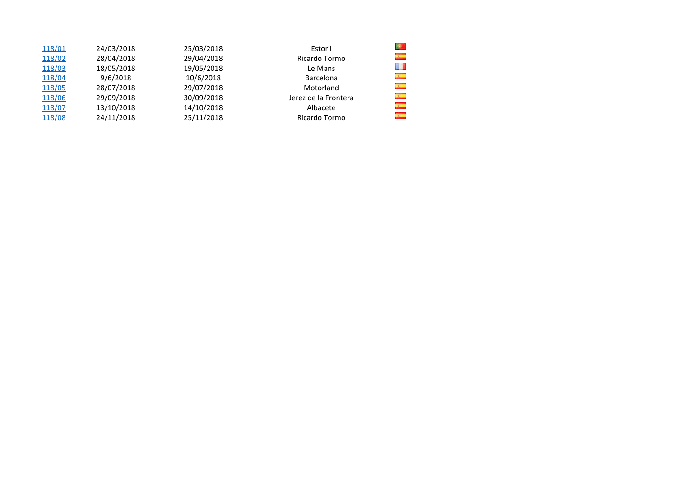| 118/01 | 24/03/2018 | 25/03/2018 | Estoril              |               |
|--------|------------|------------|----------------------|---------------|
| 118/02 | 28/04/2018 | 29/04/2018 | Ricardo Tormo        | <b>SCHOOL</b> |
| 118/03 | 18/05/2018 | 19/05/2018 | Le Mans              | H.            |
| 118/04 | 9/6/2018   | 10/6/2018  | Barcelona            | 33.           |
| 118/05 | 28/07/2018 | 29/07/2018 | Motorland            | 33.           |
| 118/06 | 29/09/2018 | 30/09/2018 | Jerez de la Frontera | 33.           |
| 118/07 | 13/10/2018 | 14/10/2018 | Albacete             | 33.           |
| 118/08 | 24/11/2018 | 25/11/2018 | Ricardo Tormo        | <b>SCHOOL</b> |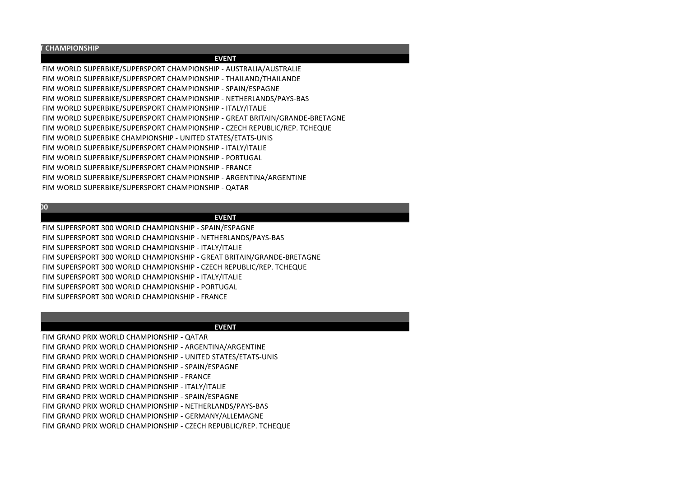#### **E** CHAMPIONSHIP

#### **EVENT**

FIM WORLD SUPERBIKE/SUPERSPORT CHAMPIONSHIP - AUSTRALIA/AUSTRALIE FIM WORLD SUPERBIKE/SUPERSPORT CHAMPIONSHIP - THAILAND/THAILANDE FIM WORLD SUPERBIKE/SUPERSPORT CHAMPIONSHIP - SPAIN/ESPAGNE FIM WORLD SUPERBIKE/SUPERSPORT CHAMPIONSHIP - NETHERLANDS/PAYS-BAS FIM WORLD SUPERBIKE/SUPERSPORT CHAMPIONSHIP - ITALY/ITALIE FIM WORLD SUPERBIKE/SUPERSPORT CHAMPIONSHIP - GREAT BRITAIN/GRANDE-BRETAGNE FIM WORLD SUPERBIKE/SUPERSPORT CHAMPIONSHIP - CZECH REPUBLIC/REP. TCHEQUE FIM WORLD SUPERBIKE CHAMPIONSHIP - UNITED STATES/ETATS-UNIS FIM WORLD SUPERBIKE/SUPERSPORT CHAMPIONSHIP - ITALY/ITALIE FIM WORLD SUPERBIKE/SUPERSPORT CHAMPIONSHIP - PORTUGAL FIM WORLD SUPERBIKE/SUPERSPORT CHAMPIONSHIP - FRANCE FIM WORLD SUPERBIKE/SUPERSPORT CHAMPIONSHIP - ARGENTINA/ARGENTINE FIM WORLD SUPERBIKE/SUPERSPORT CHAMPIONSHIP - QATAR

# **WORLD SUPERSPORT 300**

**GRAND PRIX**

#### **EVENT**

FIM SUPERSPORT 300 WORLD CHAMPIONSHIP - SPAIN/ESPAGNE FIM SUPERSPORT 300 WORLD CHAMPIONSHIP - NETHERLANDS/PAYS-BAS FIM SUPERSPORT 300 WORLD CHAMPIONSHIP - ITALY/ITALIE FIM SUPERSPORT 300 WORLD CHAMPIONSHIP - GREAT BRITAIN/GRANDE-BRETAGNE FIM SUPERSPORT 300 WORLD CHAMPIONSHIP - CZECH REPUBLIC/REP. TCHEQUE FIM SUPERSPORT 300 WORLD CHAMPIONSHIP - ITALY/ITALIE FIM SUPERSPORT 300 WORLD CHAMPIONSHIP - PORTUGAL FIM SUPERSPORT 300 WORLD CHAMPIONSHIP - FRANCE

#### **EVENT**

FIM GRAND PRIX WORLD CHAMPIONSHIP - QATAR FIM GRAND PRIX WORLD CHAMPIONSHIP - ARGENTINA/ARGENTINE FIM GRAND PRIX WORLD CHAMPIONSHIP - UNITED STATES/ETATS-UNIS FIM GRAND PRIX WORLD CHAMPIONSHIP - SPAIN/ESPAGNE FIM GRAND PRIX WORLD CHAMPIONSHIP - FRANCE FIM GRAND PRIX WORLD CHAMPIONSHIP - ITALY/ITALIE FIM GRAND PRIX WORLD CHAMPIONSHIP - SPAIN/ESPAGNE FIM GRAND PRIX WORLD CHAMPIONSHIP - NETHERLANDS/PAYS-BAS FIM GRAND PRIX WORLD CHAMPIONSHIP - GERMANY/ALLEMAGNE FIM GRAND PRIX WORLD CHAMPIONSHIP - CZECH REPUBLIC/REP. TCHEQUE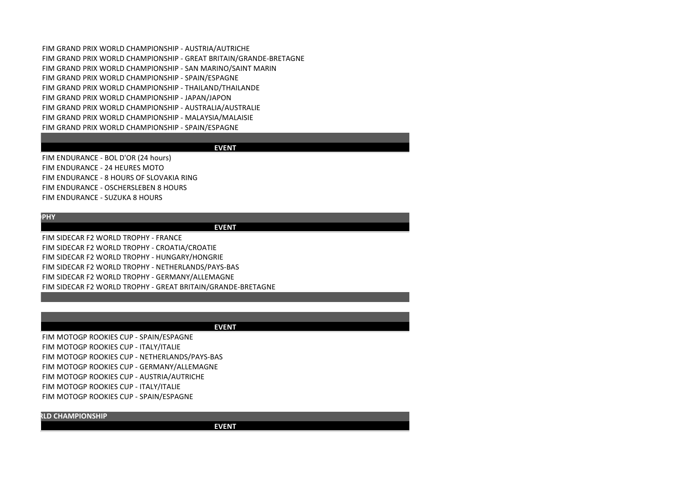# FIM GRAND PRIX WORLD CHAMPIONSHIP - AUSTRIA/AUTRICHE FIM GRAND PRIX WORLD CHAMPIONSHIP - GREAT BRITAIN/GRANDE-BRETAGNE FIM GRAND PRIX WORLD CHAMPIONSHIP - SAN MARINO/SAINT MARIN FIM GRAND PRIX WORLD CHAMPIONSHIP - SPAIN/ESPAGNE FIM GRAND PRIX WORLD CHAMPIONSHIP - THAILAND/THAILANDE FIM GRAND PRIX WORLD CHAMPIONSHIP - JAPAN/JAPON FIM GRAND PRIX WORLD CHAMPIONSHIP - AUSTRALIA/AUSTRALIE FIM GRAND PRIX WORLD CHAMPIONSHIP - MALAYSIA/MALAISIE FIM GRAND PRIX WORLD CHAMPIONSHIP - SPAIN/ESPAGNE

#### **EVENT**

FIM ENDURANCE - BOL D'OR (24 hours) FIM ENDURANCE - 24 HEURES MOTO FIM ENDURANCE - 8 HOURS OF SLOVAKIA RING FIM ENDURANCE - OSCHERSLEBEN 8 HOURS FIM ENDURANCE - SUZUKA 8 HOURS

#### **SIDECARE F2 F2 WORLD THE SIDECARE F2**

**ENDURANCE**

**EVENT**

FIM SIDECAR F2 WORLD TROPHY - FRANCE FIM SIDECAR F2 WORLD TROPHY - CROATIA/CROATIE FIM SIDECAR F2 WORLD TROPHY - HUNGARY/HONGRIE FIM SIDECAR F2 WORLD TROPHY - NETHERLANDS/PAYS-BAS FIM SIDECAR F2 WORLD TROPHY - GERMANY/ALLEMAGNE FIM SIDECAR F2 WORLD TROPHY - GREAT BRITAIN/GRANDE-BRETAGNE

#### **EVENT**

FIM MOTOGP ROOKIES CUP -SPAIN/ESPAGNE FIM MOTOGP ROOKIES CUP - ITALY/ITALIE FIM MOTOGP ROOKIES CUP - NETHERLANDS/PAYS-BAS FIM MOTOGP ROOKIES CUP -GERMANY/ALLEMAGNE FIM MOTOGP ROOKIES CUP -AUSTRIA/AUTRICHE FIM MOTOGP ROOKIES CUP - ITALY/ITALIE FIM MOTOGP ROOKIES CUP -SPAIN/ESPAGNE

**FIM CEV REPSOL MOTO3TM JUNIOR WORLD CHAMPIONSHIP**

**EVENT**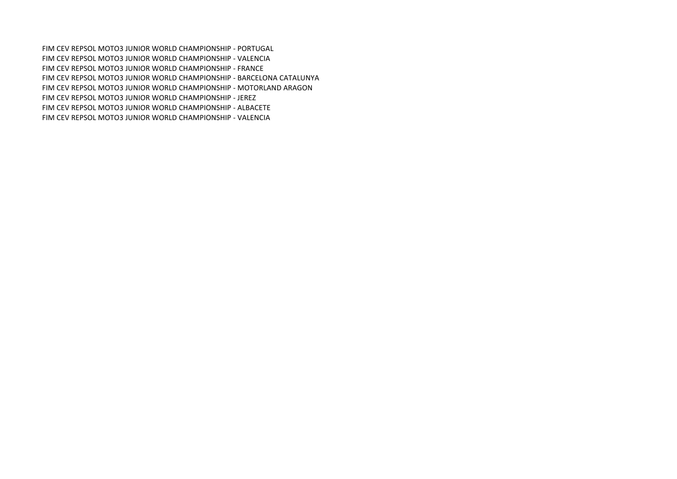FIM CEV REPSOL MOTO3 JUNIOR WORLD CHAMPIONSHIP - PORTUGAL FIM CEV REPSOL MOTO3 JUNIOR WORLD CHAMPIONSHIP - VALENCIA FIM CEV REPSOL MOTO3 JUNIOR WORLD CHAMPIONSHIP - FRANCE FIM CEV REPSOL MOTO3 JUNIOR WORLD CHAMPIONSHIP - BARCELONA CATALUNYA FIM CEV REPSOL MOTO3 JUNIOR WORLD CHAMPIONSHIP - MOTORLAND ARAGON FIM CEV REPSOL MOTO3 JUNIOR WORLD CHAMPIONSHIP - JEREZ FIM CEV REPSOL MOTO3 JUNIOR WORLD CHAMPIONSHIP - ALBACETE FIM CEV REPSOL MOTO3 JUNIOR WORLD CHAMPIONSHIP - VALENCIA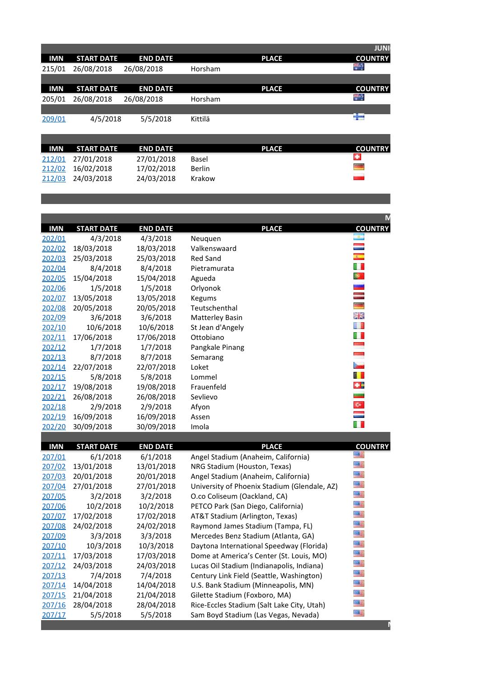<span id="page-8-0"></span>

|            |                   |                 |               |              | <b>JUNI</b>    |
|------------|-------------------|-----------------|---------------|--------------|----------------|
| <b>IMN</b> | <b>START DATE</b> | <b>END DATE</b> |               | <b>PLACE</b> | <b>COUNTRY</b> |
| 215/01     | 26/08/2018        | 26/08/2018      | Horsham       |              | ÷              |
|            |                   |                 |               |              |                |
| <b>IMN</b> | <b>START DATE</b> | <b>END DATE</b> |               | <b>PLACE</b> | <b>COUNTRY</b> |
| 205/01     | 26/08/2018        | 26/08/2018      | Horsham       |              | 亭              |
|            |                   |                 |               |              |                |
| 209/01     | 4/5/2018          | 5/5/2018        | Kittilä       |              | - -            |
|            |                   |                 |               |              |                |
|            |                   |                 |               |              |                |
| <b>IMN</b> | <b>START DATE</b> | <b>END DATE</b> |               | <b>PLACE</b> | <b>COUNTRY</b> |
| 212/01     | 27/01/2018        | 27/01/2018      | <b>Basel</b>  |              | <b>RE</b>      |
| 212/02     | 16/02/2018        | 17/02/2018      | <b>Berlin</b> |              |                |
| 212/03     | 24/03/2018        | 24/03/2018      | Krakow        |              |                |

| <b>IMN</b> | <b>START DATE</b> | <b>END DATE</b> | <b>PLACE</b>                        | <b>COUNTRY</b>                                |
|------------|-------------------|-----------------|-------------------------------------|-----------------------------------------------|
| 202/01     | 4/3/2018          | 4/3/2018        | Neuquen                             | $\mathbf{H}$                                  |
| 202/02     | 18/03/2018        | 18/03/2018      | Valkenswaard                        | <b>COMPANY</b>                                |
| 202/03     | 25/03/2018        | 25/03/2018      | Red Sand                            |                                               |
| 202/04     | 8/4/2018          | 8/4/2018        | Pietramurata                        | a pr                                          |
| 202/05     | 15/04/2018        | 15/04/2018      | Agueda                              | O.                                            |
| 202/06     | 1/5/2018          | 1/5/2018        | Orlyonok                            |                                               |
| 202/07     | 13/05/2018        | 13/05/2018      | Kegums                              |                                               |
| 202/08     | 20/05/2018        | 20/05/2018      | Teutschenthal                       | <b>The Co</b>                                 |
| 202/09     | 3/6/2018          | 3/6/2018        | Matterley Basin                     | 꾉뚡                                            |
| 202/10     | 10/6/2018         | 10/6/2018       | St Jean d'Angely                    | II.                                           |
| 202/11     | 17/06/2018        | 17/06/2018      | Ottobiano                           | H.                                            |
| 202/12     | 1/7/2018          | 1/7/2018        | Pangkale Pinang                     | en and de                                     |
| 202/13     | 8/7/2018          | 8/7/2018        | Semarang                            | <b>COMPA</b>                                  |
| 202/14     | 22/07/2018        | 22/07/2018      | Loket                               | ber 1979.<br>Maria Santonia<br>Maria Santonia |
| 202/15     | 5/8/2018          | 5/8/2018        | Lommel                              | Œ                                             |
| 202/17     | 19/08/2018        | 19/08/2018      | Frauenfeld                          | 美景                                            |
| 202/21     | 26/08/2018        | 26/08/2018      | Sevlievo                            | --                                            |
| 202/18     | 2/9/2018          | 2/9/2018        | Afyon                               | Ö.                                            |
| 202/19     | 16/09/2018        | 16/09/2018      | Assen                               |                                               |
| 202/20     | 30/09/2018        | 30/09/2018      | Imola                               | п.                                            |
|            |                   |                 |                                     |                                               |
| <b>IMN</b> | <b>START DATE</b> | <b>END DATE</b> | <b>PLACE</b>                        | <b>COUNTRY</b>                                |
| 207/01     | 6/1/2018          | 6/1/2018        | Angel Stadium (Anaheim, California) | 四目                                            |

| IMN           | START DATE | END DATE   | PLACE                                        | <b>COUNTRY</b> |
|---------------|------------|------------|----------------------------------------------|----------------|
| <u>207/01</u> | 6/1/2018   | 6/1/2018   | Angel Stadium (Anaheim, California)          | 性              |
| 207/02        | 13/01/2018 | 13/01/2018 | NRG Stadium (Houston, Texas)                 | 雁              |
| 207/03        | 20/01/2018 | 20/01/2018 | Angel Stadium (Anaheim, California)          | 麗              |
| 207/04        | 27/01/2018 | 27/01/2018 | University of Phoenix Stadium (Glendale, AZ) | 麗              |
| 207/05        | 3/2/2018   | 3/2/2018   | O.co Coliseum (Oackland, CA)                 | 麗              |
| 207/06        | 10/2/2018  | 10/2/2018  | PETCO Park (San Diego, California)           | 麗              |
| 207/07        | 17/02/2018 | 17/02/2018 | AT&T Stadium (Arlington, Texas)              | 麗              |
| 207/08        | 24/02/2018 | 24/02/2018 | Raymond James Stadium (Tampa, FL)            | 嘈              |
| 207/09        | 3/3/2018   | 3/3/2018   | Mercedes Benz Stadium (Atlanta, GA)          | 嘈              |
| 207/10        | 10/3/2018  | 10/3/2018  | Daytona International Speedway (Florida)     | 嘈              |
| 207/11        | 17/03/2018 | 17/03/2018 | Dome at America's Center (St. Louis, MO)     | 四              |
| 207/12        | 24/03/2018 | 24/03/2018 | Lucas Oil Stadium (Indianapolis, Indiana)    | 嘈              |
| 207/13        | 7/4/2018   | 7/4/2018   | Century Link Field (Seattle, Washington)     | 四日             |
| 207/14        | 14/04/2018 | 14/04/2018 | U.S. Bank Stadium (Minneapolis, MN)          | 嘈              |
| 207/15        | 21/04/2018 | 21/04/2018 | Gilette Stadium (Foxboro, MA)                | 嘈              |
| 207/16        | 28/04/2018 | 28/04/2018 | Rice-Eccles Stadium (Salt Lake City, Utah)   | 四日             |
| 207/17        | 5/5/2018   | 5/5/2018   | Sam Boyd Stadium (Las Vegas, Nevada)         | 麗              |
|               |            |            |                                              |                |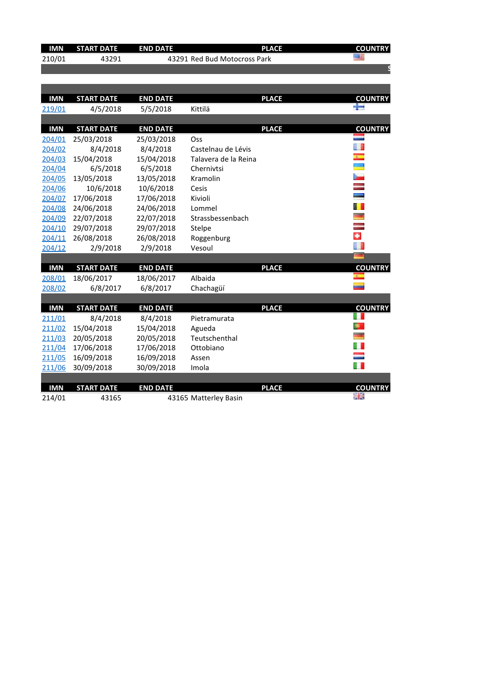| <b>IMN</b> | <b>START DATE</b> | END DATE | PLACE                  | <b>COUNTRY</b> |
|------------|-------------------|----------|------------------------|----------------|
| 210/01     | 3701<br>「ごとごよ     | 43291    | Red Bud Motocross Park |                |

**SUPERMOTO OF NATIONS**

| <b>IMN</b> | <b>START DATE</b> | <b>END DATE</b> |                       | <b>PLACE</b> | <b>COUNTRY</b>  |
|------------|-------------------|-----------------|-----------------------|--------------|-----------------|
| 219/01     | 4/5/2018          | 5/5/2018        | Kittilä               |              | 42              |
|            |                   |                 |                       |              |                 |
| <b>IMN</b> | <b>START DATE</b> | <b>END DATE</b> |                       | <b>PLACE</b> | <b>COUNTRY</b>  |
| 204/01     | 25/03/2018        | 25/03/2018      | Oss                   |              | <b>START OF</b> |
| 204/02     | 8/4/2018          | 8/4/2018        | Castelnau de Lévis    |              | 腰部              |
| 204/03     | 15/04/2018        | 15/04/2018      | Talavera de la Reina  |              | x.              |
| 204/04     | 6/5/2018          | 6/5/2018        | Chernivtsi            |              |                 |
| 204/05     | 13/05/2018        | 13/05/2018      | Kramolin              |              |                 |
| 204/06     | 10/6/2018         | 10/6/2018       | Cesis                 |              | ═               |
| 204/07     | 17/06/2018        | 17/06/2018      | Kivioli               |              |                 |
| 204/08     | 24/06/2018        | 24/06/2018      | Lommel                |              | F.              |
| 204/09     | 22/07/2018        | 22/07/2018      | Strassbessenbach      |              | <b>Child</b>    |
| 204/10     | 29/07/2018        | 29/07/2018      | Stelpe                |              |                 |
| 204/11     | 26/08/2018        | 26/08/2018      | Roggenburg            |              | ۰               |
| 204/12     | 2/9/2018          | 2/9/2018        | Vesoul                |              | 腰部              |
|            |                   |                 |                       |              |                 |
| <b>IMN</b> | <b>START DATE</b> | <b>END DATE</b> |                       | <b>PLACE</b> | <b>COUNTRY</b>  |
| 208/01     | 18/06/2017        | 18/06/2017      | Albaida               |              |                 |
| 208/02     | 6/8/2017          | 6/8/2017        | Chachagüí             |              |                 |
|            |                   |                 |                       |              |                 |
| <b>IMN</b> | <b>START DATE</b> | <b>END DATE</b> |                       | <b>PLACE</b> | <b>COUNTRY</b>  |
| 211/01     | 8/4/2018          | 8/4/2018        | Pietramurata          |              | 81              |
| 211/02     | 15/04/2018        | 15/04/2018      | Agueda                |              | G.              |
| 211/03     | 20/05/2018        | 20/05/2018      | Teutschenthal         |              |                 |
| 211/04     | 17/06/2018        | 17/06/2018      | Ottobiano             |              | E T             |
| 211/05     | 16/09/2018        | 16/09/2018      | Assen                 |              |                 |
| 211/06     | 30/09/2018        | 30/09/2018      | Imola                 |              | H.              |
|            |                   |                 |                       |              |                 |
| <b>IMN</b> | <b>START DATE</b> | <b>END DATE</b> |                       | <b>PLACE</b> | <b>COUNTRY</b>  |
| 214/01     | 43165             |                 | 43165 Matterley Basin |              | 꾉뚡              |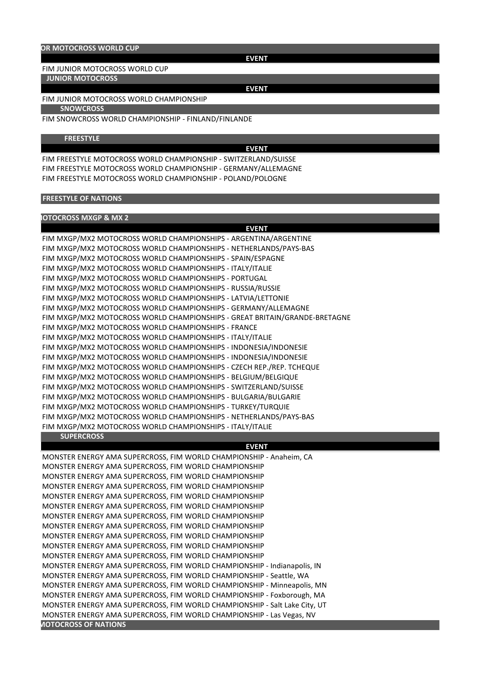# **OR MOTOCROSS WORLD CUP**

#### FIM JUNIOR MOTOCROSS WORLD CUP

**JUNIOR MOTOCROSS**

# FIM JUNIOR MOTOCROSS WORLD CHAMPIONSHIP

**SNOWCROSS**

FIM SNOWCROSS WORLD CHAMPIONSHIP - FINLAND/FINLANDE

# **FREESTYLE**

FIM FREESTYLE MOTOCROSS WORLD CHAMPIONSHIP - SWITZERLAND/SUISSE FIM FREESTYLE MOTOCROSS WORLD CHAMPIONSHIP - GERMANY/ALLEMAGNE FIM FREESTYLE MOTOCROSS WORLD CHAMPIONSHIP - POLAND/POLOGNE

# **FREESTYLE OF NATIONS**

# **MOTOCROSS MXGP & MX 2**

| <b>EVENT</b>                                                               |
|----------------------------------------------------------------------------|
| FIM MXGP/MX2 MOTOCROSS WORLD CHAMPIONSHIPS - ARGENTINA/ARGENTINE           |
| FIM MXGP/MX2 MOTOCROSS WORLD CHAMPIONSHIPS - NETHERLANDS/PAYS-BAS          |
| FIM MXGP/MX2 MOTOCROSS WORLD CHAMPIONSHIPS - SPAIN/ESPAGNE                 |
| FIM MXGP/MX2 MOTOCROSS WORLD CHAMPIONSHIPS - ITALY/ITALIE                  |
| FIM MXGP/MX2 MOTOCROSS WORLD CHAMPIONSHIPS - PORTUGAL                      |
| FIM MXGP/MX2 MOTOCROSS WORLD CHAMPIONSHIPS - RUSSIA/RUSSIE                 |
| FIM MXGP/MX2 MOTOCROSS WORLD CHAMPIONSHIPS - LATVIA/LETTONIE               |
| FIM MXGP/MX2 MOTOCROSS WORLD CHAMPIONSHIPS - GERMANY/ALLEMAGNE             |
| FIM MXGP/MX2 MOTOCROSS WORLD CHAMPIONSHIPS - GREAT BRITAIN/GRANDE-BRETAGNE |
| FIM MXGP/MX2 MOTOCROSS WORLD CHAMPIONSHIPS - FRANCE                        |
| FIM MXGP/MX2 MOTOCROSS WORLD CHAMPIONSHIPS - ITALY/ITALIE                  |
| FIM MXGP/MX2 MOTOCROSS WORLD CHAMPIONSHIPS - INDONESIA/INDONESIE           |
| FIM MXGP/MX2 MOTOCROSS WORLD CHAMPIONSHIPS - INDONESIA/INDONESIE           |
| FIM MXGP/MX2 MOTOCROSS WORLD CHAMPIONSHIPS - CZECH REP./REP. TCHEQUE       |
| FIM MXGP/MX2 MOTOCROSS WORLD CHAMPIONSHIPS - BELGIUM/BELGIQUE              |
| FIM MXGP/MX2 MOTOCROSS WORLD CHAMPIONSHIPS - SWITZERLAND/SUISSE            |
| FIM MXGP/MX2 MOTOCROSS WORLD CHAMPIONSHIPS - BULGARIA/BULGARIE             |
| FIM MXGP/MX2 MOTOCROSS WORLD CHAMPIONSHIPS - TURKEY/TURQUIE                |
| FIM MXGP/MX2 MOTOCROSS WORLD CHAMPIONSHIPS - NETHERLANDS/PAYS-BAS          |
| FIM MXGP/MX2 MOTOCROSS WORLD CHAMPIONSHIPS - ITALY/ITALIE                  |
| <b>SUPERCROSS</b>                                                          |

# **EVENT**

| MONSTER ENERGY AMA SUPERCROSS, FIM WORLD CHAMPIONSHIP - Anaheim, CA        |
|----------------------------------------------------------------------------|
| MONSTER ENERGY AMA SUPERCROSS, FIM WORLD CHAMPIONSHIP                      |
| MONSTER ENERGY AMA SUPERCROSS, FIM WORLD CHAMPIONSHIP                      |
| MONSTER ENERGY AMA SUPERCROSS, FIM WORLD CHAMPIONSHIP                      |
| MONSTER ENERGY AMA SUPERCROSS, FIM WORLD CHAMPIONSHIP                      |
| MONSTER ENERGY AMA SUPERCROSS, FIM WORLD CHAMPIONSHIP                      |
| MONSTER ENERGY AMA SUPERCROSS, FIM WORLD CHAMPIONSHIP                      |
| MONSTER ENERGY AMA SUPERCROSS, FIM WORLD CHAMPIONSHIP                      |
| MONSTER ENERGY AMA SUPERCROSS, FIM WORLD CHAMPIONSHIP                      |
| MONSTER ENERGY AMA SUPERCROSS, FIM WORLD CHAMPIONSHIP                      |
| MONSTER ENERGY AMA SUPERCROSS, FIM WORLD CHAMPIONSHIP                      |
| MONSTER ENERGY AMA SUPERCROSS, FIM WORLD CHAMPIONSHIP - Indianapolis, IN   |
| MONSTER ENERGY AMA SUPERCROSS, FIM WORLD CHAMPIONSHIP - Seattle, WA        |
| MONSTER ENERGY AMA SUPERCROSS, FIM WORLD CHAMPIONSHIP - Minneapolis, MN    |
| MONSTER ENERGY AMA SUPERCROSS, FIM WORLD CHAMPIONSHIP - Foxborough, MA     |
| MONSTER ENERGY AMA SUPERCROSS, FIM WORLD CHAMPIONSHIP - Salt Lake City, UT |
| MONSTER ENERGY AMA SUPERCROSS, FIM WORLD CHAMPIONSHIP - Las Vegas, NV      |
| <b>MOTOCROSS OF NATIONS</b>                                                |

#### **EVENT**

**EVENT**

**EVENT**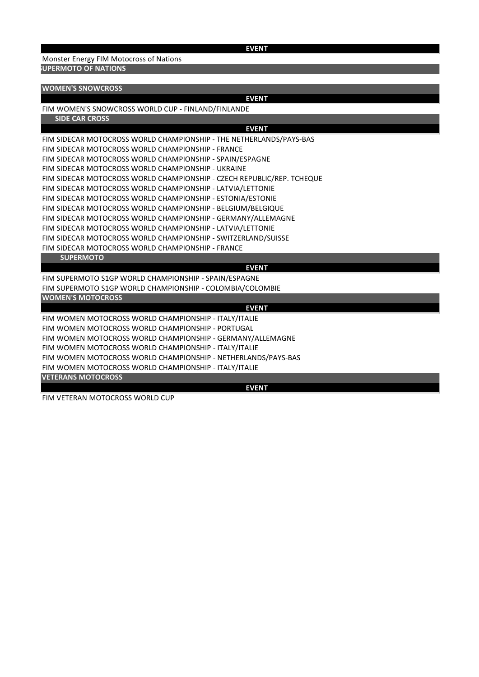#### **EVENT**

Monster Energy FIM Motocross of Nations **SUPERMOTO OF NATIONS**

#### **WOMEN'S SNOWCROSS**

| <b>EVENT</b>                                                           |
|------------------------------------------------------------------------|
| FIM WOMEN'S SNOWCROSS WORLD CUP - FINLAND/FINLANDE                     |
| <b>SIDE CAR CROSS</b>                                                  |
| <b>EVENT</b>                                                           |
| FIM SIDECAR MOTOCROSS WORLD CHAMPIONSHIP - THE NETHERLANDS/PAYS-BAS    |
| FIM SIDECAR MOTOCROSS WORLD CHAMPIONSHIP - FRANCE                      |
| FIM SIDECAR MOTOCROSS WORLD CHAMPIONSHIP - SPAIN/ESPAGNE               |
| FIM SIDECAR MOTOCROSS WORLD CHAMPIONSHIP - UKRAINE                     |
| FIM SIDECAR MOTOCROSS WORLD CHAMPIONSHIP - CZECH REPUBLIC/REP. TCHEQUE |
| FIM SIDECAR MOTOCROSS WORLD CHAMPIONSHIP - LATVIA/LETTONIE             |
| FIM SIDECAR MOTOCROSS WORLD CHAMPIONSHIP - ESTONIA/ESTONIE             |
| FIM SIDECAR MOTOCROSS WORLD CHAMPIONSHIP - BELGIUM/BELGIQUE            |
| FIM SIDECAR MOTOCROSS WORLD CHAMPIONSHIP - GERMANY/ALLEMAGNE           |
| FIM SIDECAR MOTOCROSS WORLD CHAMPIONSHIP - LATVIA/LETTONIE             |

FIM SIDECAR MOTOCROSS WORLD CHAMPIONSHIP - SWITZERLAND/SUISSE

FIM SIDECAR MOTOCROSS WORLD CHAMPIONSHIP - FRANCE

**SUPERMOTO**

**EVENT**

FIM SUPERMOTO S1GP WORLD CHAMPIONSHIP - SPAIN/ESPAGNE FIM SUPERMOTO S1GP WORLD CHAMPIONSHIP - COLOMBIA/COLOMBIE **WOMEN'S MOTOCROSS**

**EVENT** FIM WOMEN MOTOCROSS WORLD CHAMPIONSHIP - ITALY/ITALIE FIM WOMEN MOTOCROSS WORLD CHAMPIONSHIP - PORTUGAL FIM WOMEN MOTOCROSS WORLD CHAMPIONSHIP - GERMANY/ALLEMAGNE FIM WOMEN MOTOCROSS WORLD CHAMPIONSHIP - ITALY/ITALIE FIM WOMEN MOTOCROSS WORLD CHAMPIONSHIP - NETHERLANDS/PAYS-BAS FIM WOMEN MOTOCROSS WORLD CHAMPIONSHIP - ITALY/ITALIE **VETERANS MOTOCROSS**

**EVENT**

FIM VETERAN MOTOCROSS WORLD CUP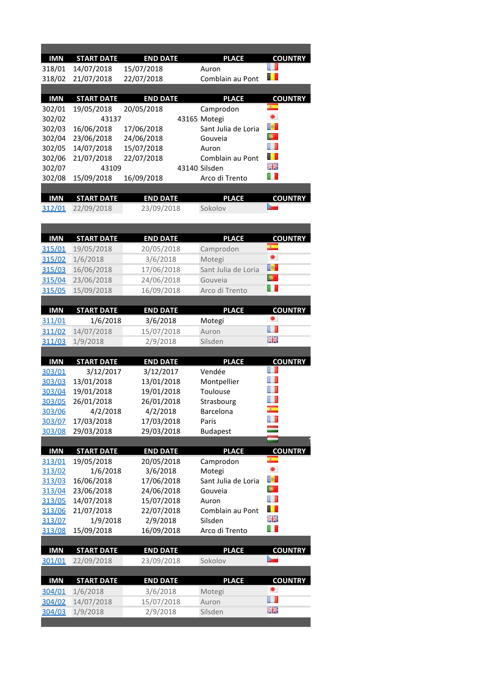<span id="page-12-0"></span>

| <b>IMN</b>       | <b>START DATE</b>              | <b>END DATE</b>         | <b>PLACE</b>              | <b>COUNTRY</b>                 |
|------------------|--------------------------------|-------------------------|---------------------------|--------------------------------|
| 318/01           | 14/07/2018                     | 15/07/2018              | Auron                     | u e                            |
| 318/02           | 21/07/2018                     | 22/07/2018              | Comblain au Pont          | l I                            |
|                  |                                |                         |                           |                                |
| <b>IMN</b>       | <b>START DATE</b>              | <b>END DATE</b>         | <b>PLACE</b>              | <b>COUNTRY</b><br>$\mathbf{c}$ |
| 302/01<br>302/02 | 19/05/2018<br>43137            | 20/05/2018              | Camprodon<br>43165 Motegi |                                |
| 302/03           | 16/06/2018                     | 17/06/2018              | Sant Julia de Loria       | 時                              |
| 302/04           | 23/06/2018                     | 24/06/2018              | Gouveia                   | ®.                             |
| 302/05           | 14/07/2018                     | 15/07/2018              | Auron                     | H.                             |
| 302/06           | 21/07/2018                     | 22/07/2018              | Comblain au Pont          | l T                            |
| 302/07           | 43109                          |                         | 43140 Silsden             | 꾉뚡                             |
| 302/08           | 15/09/2018                     | 16/09/2018              | Arco di Trento            | 87                             |
|                  |                                |                         |                           |                                |
| <b>IMN</b>       | <b>START DATE</b>              | <b>END DATE</b>         | <b>PLACE</b>              | <b>COUNTRY</b>                 |
| 312/01           | 22/09/2018                     | 23/09/2018              | Sokolov                   |                                |
|                  |                                |                         |                           |                                |
| <b>IMN</b>       | <b>START DATE</b>              | <b>END DATE</b>         | <b>PLACE</b>              | <b>COUNTRY</b>                 |
| 315/01           | 19/05/2018                     | 20/05/2018              | Camprodon                 | <b>R</b>                       |
| 315/02           | 1/6/2018                       | 3/6/2018                | Motegi                    | ٠                              |
| 315/03           | 16/06/2018                     | 17/06/2018              | Sant Julia de Loria       | 脚                              |
| 315/04           | 23/06/2018                     | 24/06/2018              | Gouveia                   | s.                             |
| 315/05           | 15/09/2018                     | 16/09/2018              | Arco di Trento            | H.                             |
|                  |                                |                         |                           |                                |
| <b>IMN</b>       | <b>START DATE</b>              | <b>END DATE</b>         | <b>PLACE</b>              | <b>COUNTRY</b>                 |
| 311/01           | 1/6/2018                       | 3/6/2018                | Motegi                    | ٠                              |
| 311/02           | 14/07/2018                     | 15/07/2018              | Auron                     | II.                            |
| 311/03           | 1/9/2018                       | 2/9/2018                | Silsden                   | 鼻蓋                             |
|                  |                                |                         |                           |                                |
| <b>IMN</b>       | <b>START DATE</b><br>3/12/2017 | <b>END DATE</b>         | <b>PLACE</b><br>Vendée    | <b>COUNTRY</b><br>H.           |
| 303/01<br>303/03 | 13/01/2018                     | 3/12/2017<br>13/01/2018 | Montpellier               | H B                            |
| 303/04           | 19/01/2018                     | 19/01/2018              | Toulouse                  | H B                            |
| <u>303/05</u>    | 26/01/2018                     | 26/01/2018              | Strasbourg                | II.                            |
| 303/06           | 4/2/2018                       | 4/2/2018                | Barcelona                 | œ                              |
| 303/07           | 17/03/2018                     | 17/03/2018              | Paris                     | H B                            |
| 303/08           | 29/03/2018                     | 29/03/2018              | <b>Budapest</b>           | ÷                              |
|                  |                                |                         |                           | $\equiv$                       |
| <b>IMN</b>       | <b>START DATE</b>              | <b>END DATE</b>         | <b>PLACE</b>              | <b>COUNTRY</b>                 |
| 313/01           | 19/05/2018                     | 20/05/2018              | Camprodon                 | $\epsilon$                     |
| 313/02           | 1/6/2018                       | 3/6/2018                | Motegi                    | ٠                              |
| 313/03           | 16/06/2018                     | 17/06/2018              | Sant Julia de Loria       | 国家                             |
| 313/04           | 23/06/2018                     | 24/06/2018              | Gouveia                   | o.                             |
| 313/05           | 14/07/2018                     | 15/07/2018              | Auron                     | H.                             |
| 313/06           | 21/07/2018                     | 22/07/2018              | Comblain au Pont          | l T                            |
| 313/07           | 1/9/2018                       | 2/9/2018                | Silsden                   | 꾉똕<br>81                       |
| 313/08           | 15/09/2018                     | 16/09/2018              | Arco di Trento            |                                |
| <b>IMN</b>       | <b>START DATE</b>              | <b>END DATE</b>         | <b>PLACE</b>              | <b>COUNTRY</b>                 |
| 301/01           | 22/09/2018                     | 23/09/2018              | Sokolov                   | <b>Contract</b>                |
|                  |                                |                         |                           |                                |
| <b>IMN</b>       | <b>START DATE</b>              | <b>END DATE</b>         | <b>PLACE</b>              | <b>COUNTRY</b>                 |
| 304/01           | 1/6/2018                       | 3/6/2018                | Motegi                    | ٠                              |
| 304/02           | 14/07/2018                     | 15/07/2018              | Auron                     | II.                            |
| 304/03           | 1/9/2018                       | 2/9/2018                | Silsden                   | 闘器                             |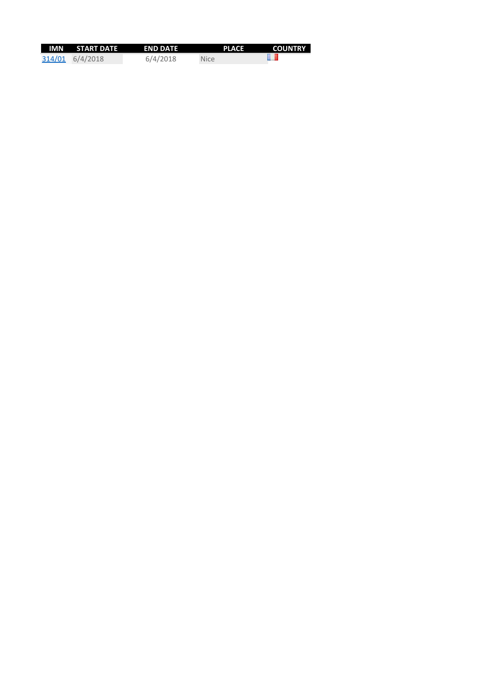| <b>IMN</b> | <b>START DATE</b> | <b>END DATE</b> | <b>PLACE</b> | COUNTRY |
|------------|-------------------|-----------------|--------------|---------|
|            | 314/01 6/4/2018   | 6/4/2018        | <b>Nice</b>  |         |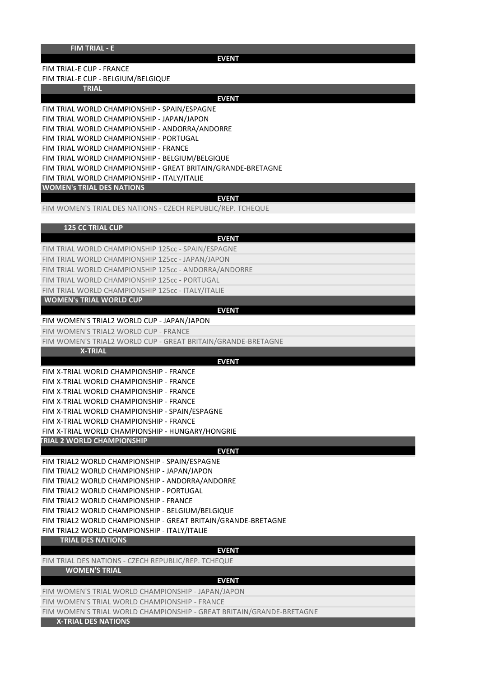**EVENT**

FIM TRIAL-E CUP - FRANCE FIM TRIAL-E CUP - BELGIUM/BELGIQUE

**TRIAL**

**EVENT**

FIM TRIAL WORLD CHAMPIONSHIP - SPAIN/ESPAGNE FIM TRIAL WORLD CHAMPIONSHIP - JAPAN/JAPON FIM TRIAL WORLD CHAMPIONSHIP - ANDORRA/ANDORRE FIM TRIAL WORLD CHAMPIONSHIP - PORTUGAL FIM TRIAL WORLD CHAMPIONSHIP - FRANCE FIM TRIAL WORLD CHAMPIONSHIP - BELGIUM/BELGIQUE FIM TRIAL WORLD CHAMPIONSHIP - GREAT BRITAIN/GRANDE-BRETAGNE FIM TRIAL WORLD CHAMPIONSHIP - ITALY/ITALIE **WOMEN's TRIAL DES NATIONS**

#### **EVENT**

FIM WOMEN'S TRIAL DES NATIONS - CZECH REPUBLIC/REP. TCHEQUE

#### **125 CC TRIAL CUP**

**EVENT** FIM TRIAL WORLD CHAMPIONSHIP 125cc - SPAIN/ESPAGNE FIM TRIAL WORLD CHAMPIONSHIP 125cc - JAPAN/JAPON FIM TRIAL WORLD CHAMPIONSHIP 125cc - ANDORRA/ANDORRE FIM TRIAL WORLD CHAMPIONSHIP 125cc - PORTUGAL

FIM TRIAL WORLD CHAMPIONSHIP 125cc - ITALY/ITALIE

**WOMEN's TRIAL WORLD CUP**

#### **EVENT**

FIM WOMEN'S TRIAL2 WORLD CUP- JAPAN/JAPON

FIM WOMEN'S TRIAL2 WORLD CUP- FRANCE

FIM WOMEN'S TRIAL2 WORLD CUP- GREAT BRITAIN/GRANDE-BRETAGNE

**X-TRIAL**

**EVENT**

FIM X-TRIAL WORLD CHAMPIONSHIP - FRANCE FIM X-TRIAL WORLD CHAMPIONSHIP - FRANCE FIM X-TRIAL WORLD CHAMPIONSHIP - FRANCE FIM X-TRIAL WORLD CHAMPIONSHIP - FRANCE FIM X-TRIAL WORLD CHAMPIONSHIP - SPAIN/ESPAGNE FIM X-TRIAL WORLD CHAMPIONSHIP - FRANCE FIM X-TRIAL WORLD CHAMPIONSHIP - HUNGARY/HONGRIE **TRIAL 2 WORLD CHAMPIONSHIP**

**EVENT**

FIM TRIAL2 WORLD CHAMPIONSHIP - SPAIN/ESPAGNE FIM TRIAL2 WORLD CHAMPIONSHIP - JAPAN/JAPON FIM TRIAL2 WORLD CHAMPIONSHIP - ANDORRA/ANDORRE FIM TRIAL2 WORLD CHAMPIONSHIP - PORTUGAL FIM TRIAL2 WORLD CHAMPIONSHIP - FRANCE FIM TRIAL2 WORLD CHAMPIONSHIP - BELGIUM/BELGIQUE FIM TRIAL2 WORLD CHAMPIONSHIP - GREAT BRITAIN/GRANDE-BRETAGNE FIM TRIAL2 WORLD CHAMPIONSHIP - ITALY/ITALIE

**TRIAL DES NATIONS**

#### **EVENT**

FIM TRIAL DES NATIONS - CZECH REPUBLIC/REP. TCHEQUE

**WOMEN'S TRIAL**

# **EVENT**

FIM WOMEN'S TRIAL WORLD CHAMPIONSHIP - JAPAN/JAPON FIM WOMEN'S TRIAL WORLD CHAMPIONSHIP - FRANCE FIM WOMEN'S TRIAL WORLD CHAMPIONSHIP - GREAT BRITAIN/GRANDE-BRETAGNE

**X-TRIAL DES NATIONS**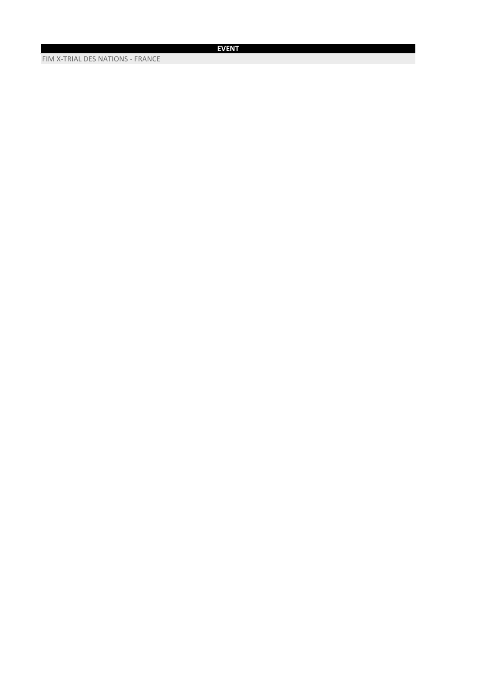# **EVENT**

FIM X-TRIAL DES NATIONS - FRANCE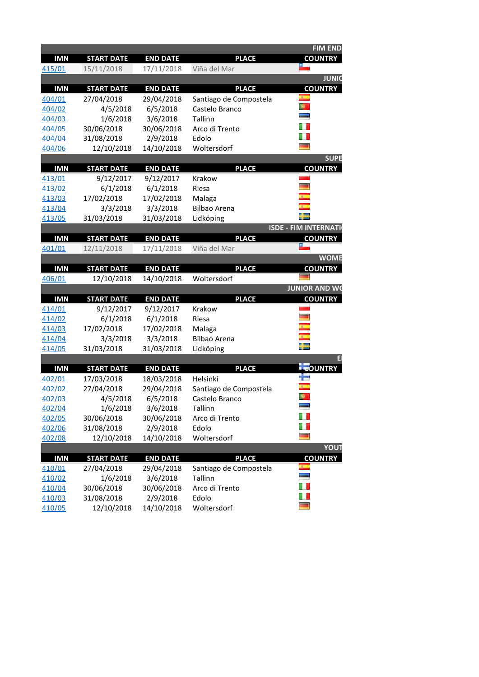<span id="page-16-0"></span>

|            |                   |                 |                        | <b>FIM END</b>              |
|------------|-------------------|-----------------|------------------------|-----------------------------|
| <b>IMN</b> | <b>START DATE</b> | <b>END DATE</b> | <b>PLACE</b>           | <b>COUNTRY</b>              |
| 415/01     | 15/11/2018        | 17/11/2018      | Viña del Mar           | 4.,                         |
|            |                   |                 |                        | <b>JUNIC</b>                |
| IMN        | <b>START DATE</b> | <b>END DATE</b> | <b>PLACE</b>           | <b>COUNTRY</b>              |
| 404/01     | 27/04/2018        | 29/04/2018      | Santiago de Compostela |                             |
| 404/02     | 4/5/2018          | 6/5/2018        | Castelo Branco         | o.                          |
| 404/03     | 1/6/2018          | 3/6/2018        | Tallinn                | E                           |
| 404/05     | 30/06/2018        | 30/06/2018      | Arco di Trento         | 8 F                         |
| 404/04     | 31/08/2018        | 2/9/2018        | Edolo                  | B T                         |
| 404/06     | 12/10/2018        | 14/10/2018      | Woltersdorf            | <b>City</b>                 |
|            |                   |                 |                        | <b>SUPE</b>                 |
| <b>IMN</b> | <b>START DATE</b> | <b>END DATE</b> | <b>PLACE</b>           | <b>COUNTRY</b>              |
| 413/01     | 9/12/2017         | 9/12/2017       | Krakow                 |                             |
| 413/02     | 6/1/2018          | 6/1/2018        | Riesa                  |                             |
| 413/03     | 17/02/2018        | 17/02/2018      | Malaga                 |                             |
| 413/04     | 3/3/2018          | 3/3/2018        | Bilbao Arena           |                             |
| 413/05     | 31/03/2018        | 31/03/2018      | Lidköping              | 유동                          |
|            |                   |                 |                        | <b>ISDE - FIM INTERNATI</b> |
| <b>IMN</b> | <b>START DATE</b> | <b>END DATE</b> | <b>PLACE</b>           | <b>COUNTRY</b>              |
| 401/01     | 12/11/2018        | 17/11/2018      | Viña del Mar           | L                           |
|            |                   |                 |                        | <b>WOME</b>                 |
| <b>IMN</b> | <b>START DATE</b> | <b>END DATE</b> | <b>PLACE</b>           | <b>COUNTRY</b>              |
| 406/01     | 12/10/2018        | 14/10/2018      | Woltersdorf            |                             |
|            |                   |                 |                        | <b>JUNIOR AND WO</b>        |
| <b>IMN</b> | <b>START DATE</b> | <b>END DATE</b> | <b>PLACE</b>           | <b>COUNTRY</b>              |
| 414/01     | 9/12/2017         | 9/12/2017       | Krakow                 |                             |
| 414/02     | 6/1/2018          | 6/1/2018        | Riesa                  |                             |
| 414/03     | 17/02/2018        | 17/02/2018      | Malaga                 |                             |
| 414/04     | 3/3/2018          | 3/3/2018        | <b>Bilbao Arena</b>    | $\overline{\mathbf{r}}$     |
| 414/05     | 31/03/2018        | 31/03/2018      | Lidköping              | 속도                          |
|            |                   |                 |                        |                             |
| <b>IMN</b> | <b>START DATE</b> | <b>END DATE</b> | <b>PLACE</b>           | <b>EQUNTRY</b>              |
| 402/01     | 17/03/2018        | 18/03/2018      | Helsinki               | ÷                           |
| 402/02     | 27/04/2018        | 29/04/2018      | Santiago de Compostela |                             |
| 402/03     | 4/5/2018          | 6/5/2018        | Castelo Branco         | o.                          |
| 402/04     | 1/6/2018          | 3/6/2018        | Tallinn                | ÷                           |
| 402/05     | 30/06/2018        | 30/06/2018      | Arco di Trento         | 81                          |
|            | 31/08/2018        | 2/9/2018        | Edolo                  | E T                         |
| 402/06     |                   |                 | Woltersdorf            | 250                         |
| 402/08     | 12/10/2018        | 14/10/2018      |                        | YOUT                        |
|            |                   |                 | <b>PLACE</b>           | <b>COUNTRY</b>              |
| IMN        | <b>START DATE</b> | <b>END DATE</b> |                        | $\sim$                      |
| 410/01     | 27/04/2018        | 29/04/2018      | Santiago de Compostela | Ī                           |
| 410/02     | 1/6/2018          | 3/6/2018        | Tallinn                | 81                          |
| 410/04     | 30/06/2018        | 30/06/2018      | Arco di Trento         | 87                          |
| 410/03     | 31/08/2018        | 2/9/2018        | Edolo                  | <u>es</u>                   |
| 410/05     | 12/10/2018        | 14/10/2018      | Woltersdorf            |                             |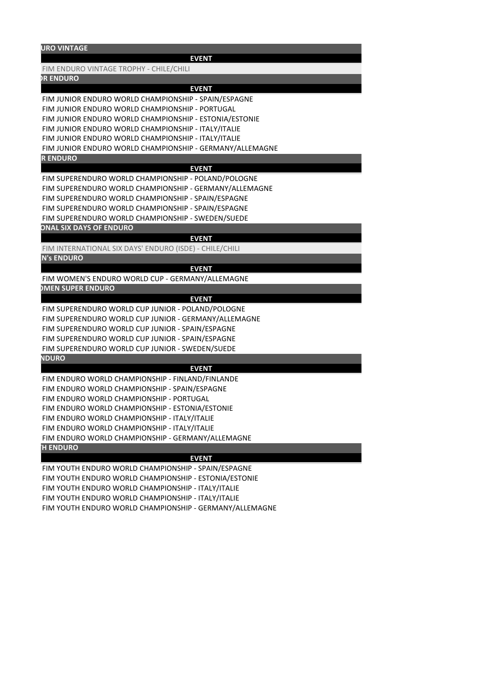| <b>URO VINTAGE</b>             |                                                          |
|--------------------------------|----------------------------------------------------------|
|                                | <b>EVENT</b>                                             |
|                                | FIM ENDURO VINTAGE TROPHY - CHILE/CHILI                  |
| <b>DR ENDURO</b>               |                                                          |
|                                | <b>EVENT</b>                                             |
|                                | FIM JUNIOR ENDURO WORLD CHAMPIONSHIP - SPAIN/ESPAGNE     |
|                                | FIM JUNIOR ENDURO WORLD CHAMPIONSHIP - PORTUGAL          |
|                                | FIM JUNIOR ENDURO WORLD CHAMPIONSHIP - ESTONIA/ESTONIE   |
|                                | FIM JUNIOR ENDURO WORLD CHAMPIONSHIP - ITALY/ITALIE      |
|                                | FIM JUNIOR ENDURO WORLD CHAMPIONSHIP - ITALY/ITALIE      |
|                                | FIM JUNIOR ENDURO WORLD CHAMPIONSHIP - GERMANY/ALLEMAGNE |
| <b>RENDURO</b>                 |                                                          |
|                                | <b>EVENT</b>                                             |
|                                | FIM SUPERENDURO WORLD CHAMPIONSHIP - POLAND/POLOGNE      |
|                                | FIM SUPERENDURO WORLD CHAMPIONSHIP - GERMANY/ALLEMAGNE   |
|                                | FIM SUPERENDURO WORLD CHAMPIONSHIP - SPAIN/ESPAGNE       |
|                                | FIM SUPERENDURO WORLD CHAMPIONSHIP - SPAIN/ESPAGNE       |
|                                | FIM SUPERENDURO WORLD CHAMPIONSHIP - SWEDEN/SUEDE        |
| <b>ONAL SIX DAYS OF ENDURO</b> |                                                          |
|                                | <b>EVENT</b>                                             |
|                                | FIM INTERNATIONAL SIX DAYS' ENDURO (ISDE) - CHILE/CHILI  |
| <b>N's ENDURO</b>              |                                                          |
|                                | <b>EVENT</b>                                             |
|                                | FIM WOMEN'S ENDURO WORLD CUP - GERMANY/ALLEMAGNE         |
| <b>DMEN SUPER ENDURO</b>       |                                                          |
|                                | <b>EVENT</b>                                             |
|                                | FIM SUPERENDURO WORLD CUP JUNIOR - POLAND/POLOGNE        |
|                                | FIM SUPERENDURO WORLD CUP JUNIOR - GERMANY/ALLEMAGNE     |
|                                | FIM SUPERENDURO WORLD CUP JUNIOR - SPAIN/ESPAGNE         |
|                                | FIM SUPERENDURO WORLD CUP JUNIOR - SPAIN/ESPAGNE         |
|                                | FIM SUPERENDURO WORLD CUP JUNIOR - SWEDEN/SUEDE          |
| <b>NDURO</b>                   |                                                          |
|                                | <b>EVENT</b>                                             |
|                                | FIM ENDURO WORLD CHAMPIONSHIP - FINLAND/FINLANDE         |
|                                | FIM ENDURO WORLD CHAMPIONSHIP - SPAIN/ESPAGNE            |
|                                | FIM ENDURO WORLD CHAMPIONSHIP - PORTUGAL                 |
|                                | FIM ENDURO WORLD CHAMPIONSHIP - ESTONIA/ESTONIE          |
|                                | FIM ENDURO WORLD CHAMPIONSHIP - ITALY/ITALIE             |
|                                | FIM ENDURO WORLD CHAMPIONSHIP - ITALY/ITALIE             |
|                                | FIM ENDURO WORLD CHAMPIONSHIP - GERMANY/ALLEMAGNE        |
| <b>H ENDURO</b>                |                                                          |
|                                | <b>EVENT</b>                                             |
|                                | FIM YOUTH ENDURO WORLD CHAMPIONSHIP - SPAIN/ESPAGNE      |
|                                | FIM YOUTH ENDURO WORLD CHAMPIONSHIP - ESTONIA/ESTONIE    |
|                                | FIM YOUTH ENDURO WORLD CHAMPIONSHIP - ITALY/ITALIE       |
|                                | FIM YOUTH ENDURO WORLD CHAMPIONSHIP - ITALY/ITALIE       |

FIM YOUTH ENDURO WORLD CHAMPIONSHIP - GERMANY/ALLEMAGNE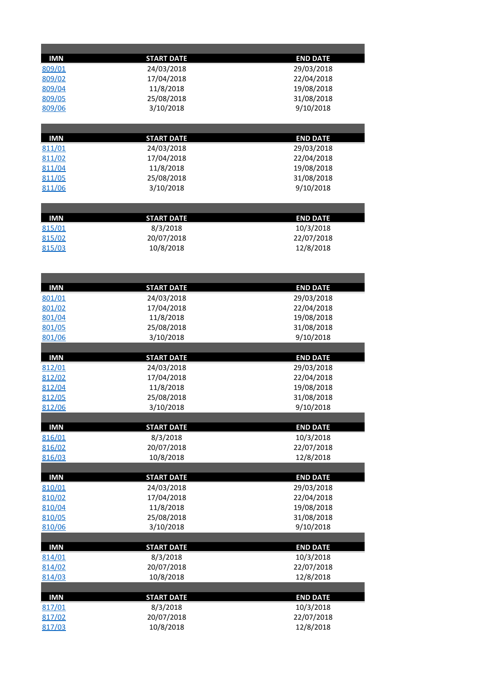<span id="page-18-0"></span>

| <b>IMN</b> | <b>START DATE</b> | <b>END DATE</b> |
|------------|-------------------|-----------------|
| 809/01     | 24/03/2018        | 29/03/2018      |
| 809/02     | 17/04/2018        | 22/04/2018      |
| 809/04     | 11/8/2018         | 19/08/2018      |
| 809/05     | 25/08/2018        | 31/08/2018      |
| 809/06     | 3/10/2018         | 9/10/2018       |
|            |                   |                 |
|            |                   |                 |
| IMN        | <b>START DATE</b> | <b>END DATE</b> |
| 811/01     | 24/03/2018        | 29/03/2018      |
| 811/02     | 17/04/2018        | 22/04/2018      |
| 811/04     | 11/8/2018         | 19/08/2018      |
| 811/05     | 25/08/2018        | 31/08/2018      |
| 811/06     | 3/10/2018         | 9/10/2018       |
|            |                   |                 |
|            |                   |                 |
| <b>IMN</b> | <b>START DATE</b> | <b>END DATE</b> |
| 815/01     | 8/3/2018          | 10/3/2018       |
|            |                   |                 |

| 815/02 | 20/07/2018 | 22/07/2018 |  |
|--------|------------|------------|--|
| 815/03 | 10/8/2018  | 12/8/2018  |  |
|        |            |            |  |
|        |            |            |  |

| <b>IMN</b> | <b>START DATE</b> | <b>END DATE</b> |
|------------|-------------------|-----------------|
| 801/01     | 24/03/2018        | 29/03/2018      |
| 801/02     | 17/04/2018        | 22/04/2018      |
| 801/04     | 11/8/2018         | 19/08/2018      |
| 801/05     | 25/08/2018        | 31/08/2018      |
| 801/06     | 3/10/2018         | 9/10/2018       |
|            |                   |                 |
| <b>IMN</b> | <b>START DATE</b> | <b>END DATE</b> |
| 812/01     | 24/03/2018        | 29/03/2018      |
| 812/02     | 17/04/2018        | 22/04/2018      |
| 812/04     | 11/8/2018         | 19/08/2018      |
| 812/05     | 25/08/2018        | 31/08/2018      |
| 812/06     | 3/10/2018         | 9/10/2018       |
|            |                   |                 |
| <b>IMN</b> | <b>START DATE</b> | <b>END DATE</b> |
| 816/01     | 8/3/2018          | 10/3/2018       |
| 816/02     | 20/07/2018        | 22/07/2018      |
| 816/03     | 10/8/2018         | 12/8/2018       |
|            |                   |                 |
| <b>IMN</b> | <b>START DATE</b> | <b>END DATE</b> |
| 810/01     | 24/03/2018        | 29/03/2018      |
| 810/02     | 17/04/2018        | 22/04/2018      |
| 810/04     | 11/8/2018         | 19/08/2018      |
| 810/05     | 25/08/2018        | 31/08/2018      |
| 810/06     | 3/10/2018         | 9/10/2018       |
|            |                   |                 |
| <b>IMN</b> | <b>START DATE</b> | <b>END DATE</b> |
| 814/01     | 8/3/2018          | 10/3/2018       |
| 814/02     | 20/07/2018        | 22/07/2018      |
| 814/03     | 10/8/2018         | 12/8/2018       |
|            |                   |                 |
| <b>IMN</b> | <b>START DATE</b> | <b>END DATE</b> |
| 817/01     | 8/3/2018          | 10/3/2018       |
| 817/02     | 20/07/2018        | 22/07/2018      |
| 817/03     | 10/8/2018         | 12/8/2018       |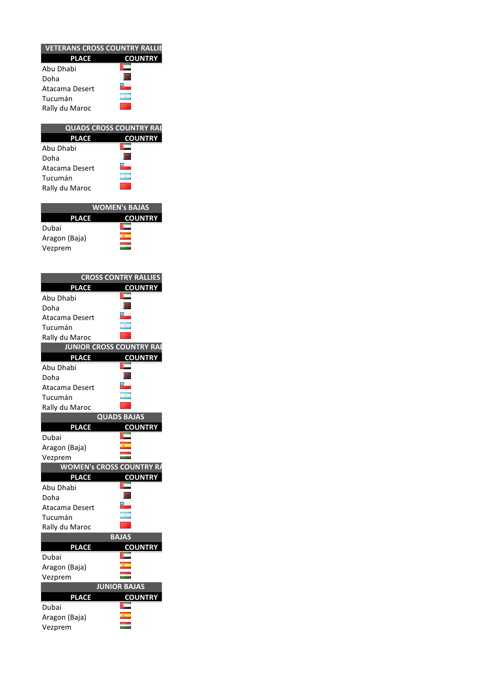|                           | <b>VETERANS CROSS COUNTRY RALLIE</b>              |  |
|---------------------------|---------------------------------------------------|--|
| <b>PLACE</b>              | <b>COUNTRY</b>                                    |  |
| Abu Dhabi                 |                                                   |  |
| Doha                      |                                                   |  |
| Atacama Desert<br>Tucumán |                                                   |  |
| Rally du Maroc            |                                                   |  |
|                           |                                                   |  |
|                           | <b>QUADS CROSS COUNTRY RAL</b>                    |  |
| <b>PLACE</b>              | <b>COUNTRY</b>                                    |  |
| Abu Dhabi                 |                                                   |  |
| Doha                      |                                                   |  |
| Atacama Desert<br>Tucumán |                                                   |  |
| Rally du Maroc            |                                                   |  |
|                           |                                                   |  |
|                           | <b>WOMEN's BAJAS</b>                              |  |
| <b>PLACE</b>              | <b>COUNTRY</b>                                    |  |
| Dubai                     |                                                   |  |
| Aragon (Baja)             |                                                   |  |
| Vezprem                   |                                                   |  |
|                           |                                                   |  |
|                           | <b>CROSS CONTRY RALLIES</b>                       |  |
| <b>PLACE</b>              | <b>COUNTRY</b>                                    |  |
| Abu Dhabi                 |                                                   |  |
| Doha                      |                                                   |  |
| Atacama Desert            |                                                   |  |
| Tucumán                   |                                                   |  |
| Rally du Maroc            |                                                   |  |
| <b>PLACE</b>              | <b>JUNIOR CROSS COUNTRY RAL</b><br><b>COUNTRY</b> |  |
| Abu Dhabi                 |                                                   |  |
| Doha                      |                                                   |  |
| Atacama Desert            |                                                   |  |
| Tucumán                   |                                                   |  |
| Rally du Maroc            |                                                   |  |
|                           | <b>QUADS BAJAS</b>                                |  |
| <b>PLACE</b>              | <b>COUNTRY</b>                                    |  |
| Dubai<br>Aragon (Baja)    |                                                   |  |
| Vezprem                   |                                                   |  |
|                           | <b>WOMEN's CROSS COUNTRY RA</b>                   |  |
| <b>PLACE</b>              | <b>COUNTRY</b>                                    |  |
| Abu Dhabi                 |                                                   |  |
| Doha                      |                                                   |  |
| Atacama Desert            |                                                   |  |
| Tucumán                   |                                                   |  |
| Rally du Maroc            | <b>BAJAS</b>                                      |  |
| <b>PLACE</b>              | <b>COUNTRY</b>                                    |  |
| Dubai                     |                                                   |  |
| Aragon (Baja)             |                                                   |  |
| Vezprem                   |                                                   |  |
|                           | <b>JUNIOR BAJAS</b>                               |  |
| <b>PLACE</b>              | <b>COUNTRY</b>                                    |  |
| Dubai                     |                                                   |  |
| Aragon (Baja)             |                                                   |  |
| Vezprem                   |                                                   |  |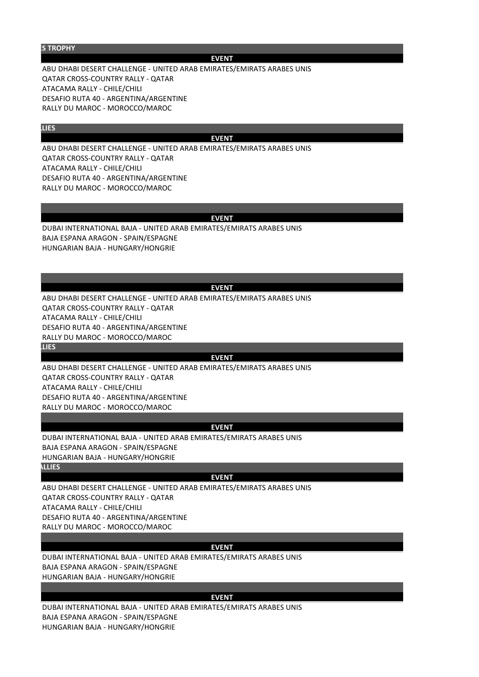#### $E$ **S TROPHY**

**EVENT**

ABU DHABI DESERT CHALLENGE - UNITED ARAB EMIRATES/EMIRATS ARABES UNIS QATAR CROSS-COUNTRY RALLY - QATAR ATACAMA RALLY - CHILE/CHILI DESAFIO RUTA 40 - ARGENTINA/ARGENTINE RALLY DU MAROC - MOROCCO/MAROC

#### **QUADS CROSS COUNTRY RALLIES**

**WOMEN's BAJAS**

**CROSS CONTRY RALLIES**

**QUADS BAJAS**

**BAJAS**

#### **EVENT**

ABU DHABI DESERT CHALLENGE - UNITED ARAB EMIRATES/EMIRATS ARABES UNIS QATAR CROSS-COUNTRY RALLY - QATAR ATACAMA RALLY - CHILE/CHILI DESAFIO RUTA 40 - ARGENTINA/ARGENTINE RALLY DU MAROC - MOROCCO/MAROC

#### **EVENT**

DUBAI INTERNATIONAL BAJA - UNITED ARAB EMIRATES/EMIRATS ARABES UNIS BAJA ESPANA ARAGON - SPAIN/ESPAGNE HUNGARIAN BAJA - HUNGARY/HONGRIE

#### **EVENT**

ABU DHABI DESERT CHALLENGE - UNITED ARAB EMIRATES/EMIRATS ARABES UNIS QATAR CROSS-COUNTRY RALLY - QATAR ATACAMA RALLY - CHILE/CHILI DESAFIO RUTA 40 - ARGENTINA/ARGENTINE RALLY DU MAROC - MOROCCO/MAROC **JUNIOR CROSS COUNTRY RALLIES**

#### **EVENT**

ABU DHABI DESERT CHALLENGE - UNITED ARAB EMIRATES/EMIRATS ARABES UNIS QATAR CROSS-COUNTRY RALLY - QATAR ATACAMA RALLY - CHILE/CHILI DESAFIO RUTA 40 - ARGENTINA/ARGENTINE RALLY DU MAROC - MOROCCO/MAROC

### **EVENT**

DUBAI INTERNATIONAL BAJA - UNITED ARAB EMIRATES/EMIRATS ARABES UNIS BAJA ESPANA ARAGON - SPAIN/ESPAGNE HUNGARIAN BAJA - HUNGARY/HONGRIE **WOMEN's CROSS COUNTRY RALLIES**

#### **EVENT**

ABU DHABI DESERT CHALLENGE - UNITED ARAB EMIRATES/EMIRATS ARABES UNIS QATAR CROSS-COUNTRY RALLY - QATAR ATACAMA RALLY - CHILE/CHILI DESAFIO RUTA 40 - ARGENTINA/ARGENTINE RALLY DU MAROC - MOROCCO/MAROC

#### **EVENT**

DUBAI INTERNATIONAL BAJA - UNITED ARAB EMIRATES/EMIRATS ARABES UNIS BAJA ESPANA ARAGON - SPAIN/ESPAGNE HUNGARIAN BAJA - HUNGARY/HONGRIE **JUNIOR BAJAS**

#### **EVENT**

DUBAI INTERNATIONAL BAJA - UNITED ARAB EMIRATES/EMIRATS ARABES UNIS BAJA ESPANA ARAGON - SPAIN/ESPAGNE HUNGARIAN BAJA - HUNGARY/HONGRIE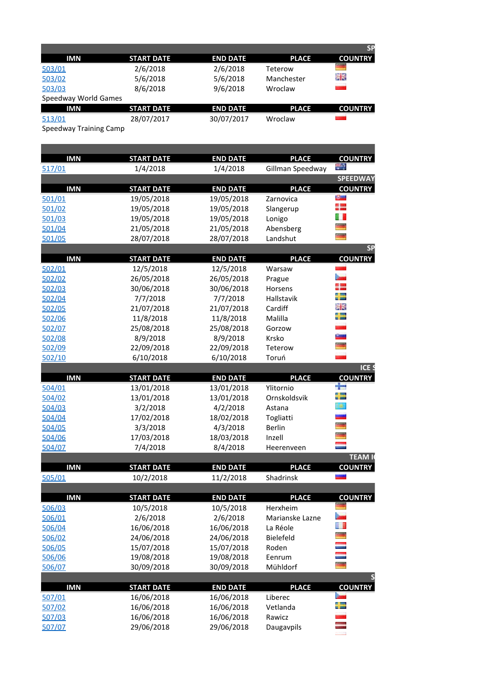<span id="page-21-0"></span>

|                      |                   |                 |              | <b>SP</b>      |
|----------------------|-------------------|-----------------|--------------|----------------|
| <b>IMN</b>           | <b>START DATE</b> | <b>END DATE</b> | <b>PLACE</b> | <b>COUNTRY</b> |
| 503/01               | 2/6/2018          | 2/6/2018        | Teterow      | -              |
| 503/02               | 5/6/2018          | 5/6/2018        | Manchester   | 꾉뚡             |
| 503/03               | 8/6/2018          | 9/6/2018        | Wroclaw      | ÷              |
| Speedway World Games |                   |                 |              |                |
| <b>IMN</b>           | <b>START DATE</b> | <b>END DATE</b> | <b>PLACE</b> | <b>COUNTRY</b> |
| 513/01               | 28/07/2017        | 30/07/2017      | Wroclaw      |                |

Speedway Training Camp

| <b>IMN</b>    | <b>START DATE</b> | <b>END DATE</b> | <b>PLACE</b>     | <b>COUNTRY</b>             |
|---------------|-------------------|-----------------|------------------|----------------------------|
| 517/01        | 1/4/2018          | 1/4/2018        | Gillman Speedway | ÷.                         |
|               |                   |                 |                  | <b>SPEEDWAY</b>            |
| <b>IMN</b>    | <b>START DATE</b> | <b>END DATE</b> | <b>PLACE</b>     | <b>COUNTRY</b>             |
| 501/01        | 19/05/2018        | 19/05/2018      | Zarnovica        | $\mathcal{O}_{\text{max}}$ |
| 501/02        | 19/05/2018        | 19/05/2018      | Slangerup        | 42                         |
| 501/03        | 19/05/2018        | 19/05/2018      | Lonigo           | B.                         |
| 501/04        | 21/05/2018        | 21/05/2018      | Abensberg        | E                          |
| 501/05        | 28/07/2018        | 28/07/2018      | Landshut         | E                          |
|               |                   |                 |                  | <b>SP</b>                  |
| <b>IMN</b>    | <b>START DATE</b> | <b>END DATE</b> | <b>PLACE</b>     | <b>COUNTRY</b>             |
| 502/01        | 12/5/2018         | 12/5/2018       | Warsaw           | <b>TOMA</b>                |
| 502/02        | 26/05/2018        | 26/05/2018      | Prague           | be a                       |
| 502/03        | 30/06/2018        | 30/06/2018      | Horsens          | ÷                          |
| 502/04        | 7/7/2018          | 7/7/2018        | Hallstavik       | 95                         |
| 502/05        | 21/07/2018        | 21/07/2018      | Cardiff          | 꾉뚡                         |
| 502/06        | 11/8/2018         | 11/8/2018       | Malilla          | 목돈                         |
| 502/07        | 25/08/2018        | 25/08/2018      | Gorzow           |                            |
| 502/08        | 8/9/2018          | 8/9/2018        | Krsko            | <b>Service</b>             |
| 502/09        | 22/09/2018        | 22/09/2018      | Teterow          | æ                          |
| 502/10        | 6/10/2018         | 6/10/2018       | Toruń            |                            |
|               |                   |                 |                  | ICE <sub>S</sub>           |
| <b>IMN</b>    | <b>START DATE</b> | <b>END DATE</b> | <b>PLACE</b>     | <b>COUNTRY</b>             |
| 504/01        | 13/01/2018        | 13/01/2018      | Ylitornio        | ÷                          |
| 504/02        | 13/01/2018        | 13/01/2018      | Ornskoldsvik     | 特                          |
| 504/03        | 3/2/2018          | 4/2/2018        | Astana           | -95                        |
| 504/04        | 17/02/2018        | 18/02/2018      | Togliatti        |                            |
| 504/05        | 3/3/2018          | 4/3/2018        | Berlin           |                            |
| 504/06        | 17/03/2018        | 18/03/2018      | Inzell           | تبار                       |
| 504/07        | 7/4/2018          | 8/4/2018        | Heerenveen       |                            |
|               |                   |                 |                  | <b>TEAM IO</b>             |
| <b>IMN</b>    | <b>START DATE</b> | <b>END DATE</b> | <b>PLACE</b>     | <b>COUNTRY</b>             |
| 505/01        | 10/2/2018         | 11/2/2018       | Shadrinsk        | --                         |
|               |                   |                 |                  |                            |
| <b>IMN</b>    | <b>START DATE</b> | <b>END DATE</b> | <b>PLACE</b>     | <b>COUNTRY</b>             |
| <u>506/03</u> | 10/5/2018         | 10/5/2018       | Herxheim         | <b>Service</b>             |
| 506/01        | 2/6/2018          | 2/6/2018        | Marianske Lazne  | <b>Service</b>             |
| 506/04        | 16/06/2018        | 16/06/2018      | La Réole         | 腰部                         |
| 506/02        | 24/06/2018        | 24/06/2018      | Bielefeld        |                            |
| 506/05        | 15/07/2018        | 15/07/2018      | Roden            |                            |
| 506/06        | 19/08/2018        | 19/08/2018      | Eenrum           | ═                          |
| 506/07        | 30/09/2018        | 30/09/2018      | Mühldorf         | <b>COLOR</b>               |
|               |                   |                 |                  |                            |
| <b>IMN</b>    | <b>START DATE</b> | <b>END DATE</b> | <b>PLACE</b>     | <b>COUNTRY</b>             |
| 507/01        | 16/06/2018        | 16/06/2018      | Liberec          | <b>Contract</b>            |
| 507/02        | 16/06/2018        | 16/06/2018      | Vetlanda         | 特                          |
| 507/03        |                   |                 | Rawicz           |                            |
|               | 16/06/2018        | 16/06/2018      |                  | $\overline{\phantom{0}}$   |
| 507/07        | 29/06/2018        | 29/06/2018      | Daugavpils       | <b>Sales</b>               |
|               |                   |                 |                  |                            |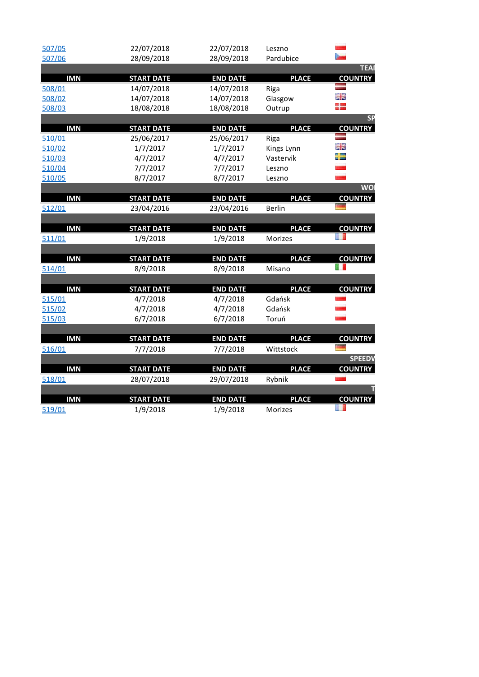| 507/05     | 22/07/2018        | 22/07/2018      | Leszno       |                |
|------------|-------------------|-----------------|--------------|----------------|
| 507/06     | 28/09/2018        | 28/09/2018      | Pardubice    |                |
|            |                   |                 |              | <b>TEAM</b>    |
| <b>IMN</b> | <b>START DATE</b> | <b>END DATE</b> | <b>PLACE</b> | <b>COUNTRY</b> |
| 508/01     | 14/07/2018        | 14/07/2018      | Riga         |                |
| 508/02     | 14/07/2018        | 14/07/2018      | Glasgow      | 罢              |
| 508/03     | 18/08/2018        | 18/08/2018      | Outrup       | ÷              |
|            |                   |                 |              | <b>SP</b>      |
| <b>IMN</b> | <b>START DATE</b> | <b>END DATE</b> | <b>PLACE</b> | <b>COUNTRY</b> |
| 510/01     | 25/06/2017        | 25/06/2017      | Riga         |                |
| 510/02     | 1/7/2017          | 1/7/2017        | Kings Lynn   | 噐              |
| 510/03     | 4/7/2017          | 4/7/2017        | Vastervik    | 유통             |
| 510/04     | 7/7/2017          | 7/7/2017        | Leszno       |                |
| 510/05     | 8/7/2017          | 8/7/2017        | Leszno       |                |
|            |                   |                 |              | <b>WO</b>      |
| <b>IMN</b> | <b>START DATE</b> | <b>END DATE</b> | <b>PLACE</b> | <b>COUNTRY</b> |
| 512/01     | 23/04/2016        | 23/04/2016      | Berlin       |                |
|            |                   |                 |              |                |
| <b>IMN</b> | <b>START DATE</b> | <b>END DATE</b> | <b>PLACE</b> | <b>COUNTRY</b> |
| 511/01     | 1/9/2018          | 1/9/2018        | Morizes      | H.             |
|            |                   |                 |              |                |
| <b>IMN</b> | <b>START DATE</b> | <b>END DATE</b> | <b>PLACE</b> | <b>COUNTRY</b> |
| 514/01     | 8/9/2018          | 8/9/2018        | Misano       | 81             |
|            |                   |                 |              |                |
| <b>IMN</b> | <b>START DATE</b> | <b>END DATE</b> | <b>PLACE</b> | <b>COUNTRY</b> |
| 515/01     | 4/7/2018          | 4/7/2018        | Gdańsk       |                |
| 515/02     | 4/7/2018          | 4/7/2018        | Gdańsk       |                |
| 515/03     | 6/7/2018          | 6/7/2018        | Toruń        |                |
|            |                   |                 |              |                |
| <b>IMN</b> | <b>START DATE</b> | <b>END DATE</b> | <b>PLACE</b> | <b>COUNTRY</b> |
| 516/01     | 7/7/2018          | 7/7/2018        | Wittstock    |                |
|            |                   |                 |              | <b>SPEEDV</b>  |
| <b>IMN</b> | <b>START DATE</b> | <b>END DATE</b> | <b>PLACE</b> | <b>COUNTRY</b> |
| 518/01     | 28/07/2018        | 29/07/2018      | Rybnik       |                |
|            |                   |                 |              |                |
| <b>IMN</b> | <b>START DATE</b> | <b>END DATE</b> | <b>PLACE</b> | <b>COUNTRY</b> |
| 519/01     | 1/9/2018          | 1/9/2018        | Morizes      | H.             |
|            |                   |                 |              |                |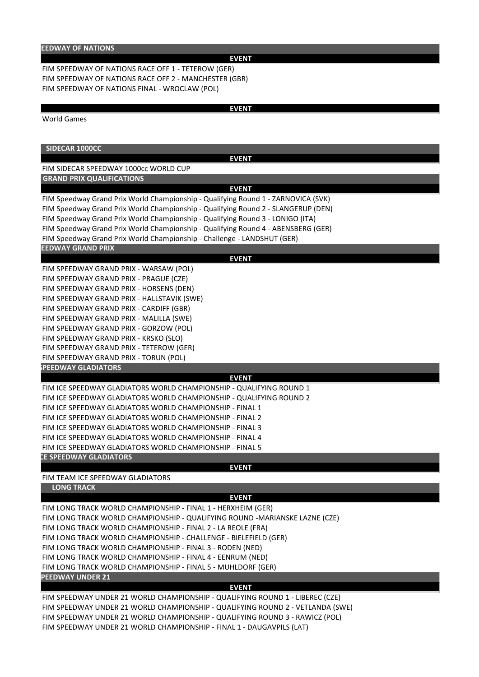# **EEDWAY OF NATIONS**

FIM SPEEDWAY OF NATIONS RACE OFF 1 - TETEROW (GER) FIM SPEEDWAY OF NATIONS RACE OFF 2 - MANCHESTER (GBR) FIM SPEEDWAY OF NATIONS FINAL - WROCLAW (POL)

World Games

**EVENT**

**EVENT**

**EVENT**

| SIDECAR 1000CC |  |
|----------------|--|
|----------------|--|

FIM SIDECAR SPEEDWAY 1000cc WORLD CUP **SPEALIFICATIONS** 

|                                  | <b>EVENT</b>                                                                                  |
|----------------------------------|-----------------------------------------------------------------------------------------------|
|                                  | FIM Speedway Grand Prix World Championship - Qualifying Round 1 - ZARNOVICA (SVK)             |
|                                  | FIM Speedway Grand Prix World Championship - Qualifying Round 2 - SLANGERUP (DEN)             |
|                                  | FIM Speedway Grand Prix World Championship - Qualifying Round 3 - LONIGO (ITA)                |
|                                  | FIM Speedway Grand Prix World Championship - Qualifying Round 4 - ABENSBERG (GER)             |
|                                  | FIM Speedway Grand Prix World Championship - Challenge - LANDSHUT (GER)                       |
| <b>EEDWAY GRAND PRIX</b>         |                                                                                               |
|                                  | <b>EVENT</b>                                                                                  |
|                                  | FIM SPEEDWAY GRAND PRIX - WARSAW (POL)                                                        |
|                                  | FIM SPEEDWAY GRAND PRIX - PRAGUE (CZE)                                                        |
|                                  | FIM SPEEDWAY GRAND PRIX - HORSENS (DEN)                                                       |
|                                  | FIM SPEEDWAY GRAND PRIX - HALLSTAVIK (SWE)                                                    |
|                                  | FIM SPEEDWAY GRAND PRIX - CARDIFF (GBR)                                                       |
|                                  | FIM SPEEDWAY GRAND PRIX - MALILLA (SWE)                                                       |
|                                  | FIM SPEEDWAY GRAND PRIX - GORZOW (POL)                                                        |
|                                  | FIM SPEEDWAY GRAND PRIX - KRSKO (SLO)                                                         |
|                                  | FIM SPEEDWAY GRAND PRIX - TETEROW (GER)                                                       |
|                                  | FIM SPEEDWAY GRAND PRIX - TORUN (POL)                                                         |
| <b>SPEEDWAY GLADIATORS</b>       |                                                                                               |
|                                  | <b>EVENT</b>                                                                                  |
|                                  | FIM ICE SPEEDWAY GLADIATORS WORLD CHAMPIONSHIP - QUALIFYING ROUND 1                           |
|                                  | FIM ICE SPEEDWAY GLADIATORS WORLD CHAMPIONSHIP - QUALIFYING ROUND 2                           |
|                                  | FIM ICE SPEEDWAY GLADIATORS WORLD CHAMPIONSHIP - FINAL 1                                      |
|                                  | FIM ICE SPEEDWAY GLADIATORS WORLD CHAMPIONSHIP - FINAL 2                                      |
|                                  | FIM ICE SPEEDWAY GLADIATORS WORLD CHAMPIONSHIP - FINAL 3                                      |
|                                  | FIM ICE SPEEDWAY GLADIATORS WORLD CHAMPIONSHIP - FINAL 4                                      |
|                                  | FIM ICE SPEEDWAY GLADIATORS WORLD CHAMPIONSHIP - FINAL 5                                      |
| <b>CE SPEEDWAY GLADIATORS</b>    |                                                                                               |
|                                  | <b>EVENT</b>                                                                                  |
| FIM TEAM ICE SPEEDWAY GLADIATORS |                                                                                               |
| <b>LONG TRACK</b>                |                                                                                               |
|                                  | <b>EVENT</b>                                                                                  |
|                                  | FIM LONG TRACK WORLD CHAMPIONSHIP - FINAL 1 - HERXHEIM (GER)                                  |
|                                  | FIM LONG TRACK WORLD CHAMPIONSHIP - QUALIFYING ROUND -MARIANSKE LAZNE (CZE)                   |
|                                  | FIM LONG TRACK WORLD CHAMPIONSHIP - FINAL 2 - LA REOLE (FRA)                                  |
|                                  | FIM LONG TRACK WORLD CHAMPIONSHIP - CHALLENGE - BIELEFIELD (GER)                              |
|                                  | FIM LONG TRACK WORLD CHAMPIONSHIP - FINAL 3 - RODEN (NED)                                     |
|                                  | FIM LONG TRACK WORLD CHAMPIONSHIP - FINAL 4 - EENRUM (NED)                                    |
|                                  | FIM LONG TRACK WORLD CHAMPIONSHIP - FINAL 5 - MUHLDORF (GER)                                  |
| <b>PEEDWAY UNDER 21</b>          |                                                                                               |
|                                  |                                                                                               |
|                                  | <b>EVENT</b><br>FIM SPEEDWAY UNDER 21 WORLD CHAMPIONSHIP - QUALIFYING ROUND 1 - LIBEREC (CZE) |
|                                  | FIM SPEEDWAY UNDER 21 WORLD CHAMPIONSHIP - QUALIFYING ROUND 2 - VETLANDA (SWE)                |
|                                  |                                                                                               |
|                                  | FIM SPEEDWAY UNDER 21 WORLD CHAMPIONSHIP - QUALIFYING ROUND 3 - RAWICZ (POL)                  |

FIM SPEEDWAY UNDER 21 WORLD CHAMPIONSHIP - FINAL 1 - DAUGAVPILS (LAT)